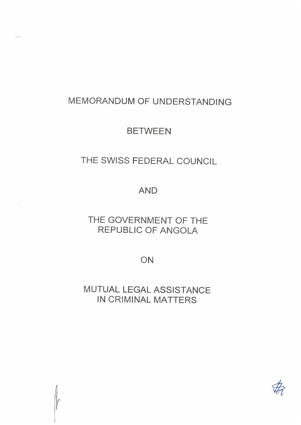# MEMORANDUM OF UNDERSTANDING

## **BETWEEN**

# THE SWISS FEDERAL COUNCIL

### AND

## THE GOVERNMENT OF THE REPUBLIC OF ANGOLA

ON

MUTUAL LEGAL ASSISTANCE IN CRIMINAL MATTERS

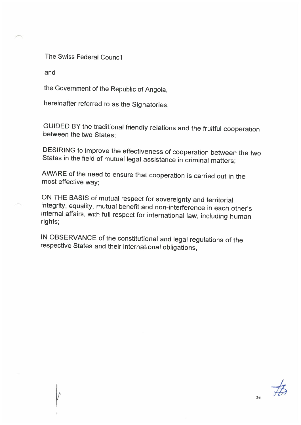The Swiss Federal Council

and

/r\

the Government of the Republic of Angola,

hereinafter referred to as the Signatories,

GUIDED BY the traditional friendly relations and the fruitful cooperation between the two States;

DESIRING to improve the effectiveness of cooperation between the two States in the field of mutual legal assistance in criminal matters;

AWARE of the need to ensure that cooperation is carried out in the most effective way:

ON THE BASIS of mutual respect for sovereignty and territorial integrity, equality, mutual benefit and non-interference in each other's internal affairs, with full respect for international law, including human rights

IN OBSERVANCE of the constitutional and legal regulations of the respective States and their international obligations,

 $2/6$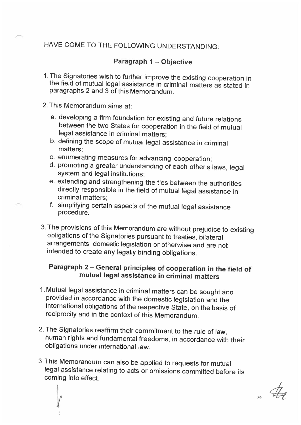### HAVE COME TO THE FOLLOWING UNDERSTANDING:

#### Paragraph 1 – Objective

- 1. The Signatories wish to further improve the existing cooperation in the field of mutual legal assistance in criminal matters as stated in paragraphs 2 and 3 of this Memorandum.
- 2. This Memorandum aims at:
	- a. developing a firm foundation for existing and future relations between the two States for cooperation in the field of mutual legal assistance in criminal matters;
	- b. defining the scope of mutual legal assistance in criminal matters;
	- c. enumerating measures for advancing cooperation;
	- d. promoting a greater understanding of each other's laws, legal system and legal institutions;
	- e. extending and strengthening the ties between the authorities directly responsible in the field of mutual legal assistance in criminal matters:
	- f. simplifying certain aspects of the mutual legal assistance procedure.
- 3. The provisions of this Memorandum are without prejudice to existing obligations of the Signatories pursuant to treaties, bilateral arrangements, domestic legislation or otherwise and are not intended to create any legally binding obligations.

### Paragraph 2 – General principles of cooperation in the field of mutual legal assistance in criminal matters

- 1.Mutual legal assistance in criminal matters can be sought and provided in accordance with the domestic legislation and the international obligations of the respective State, on the basis of reciprocity and in the context of this Memorandum.
- 2. The Signatories reaffirm their commitment to the rule of law, human rights and fundamental freedoms, in accordance with their obligations under international law.
- 3. This Memorandum can also be applied to requests for mutual legal assistance relating to acts or omissions committed before its coming into effect.

 $\begin{matrix} 6 & 6 \end{matrix}$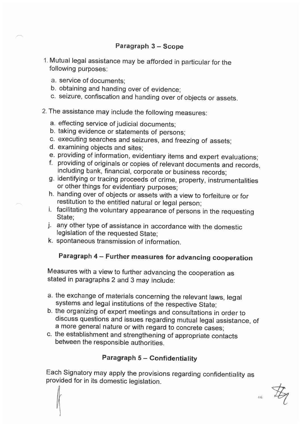#### Paragraph 3 – Scope

- 1. Mutual legal assistance may be afforded in particular for the following purposes:
	- a. service of documents;
	- b. obtaining and handing over of evidence;
	- c. seizure, confiscation and handing over of objects or assets.
- 2. The assistance may include the following measures:
	- a. effecting service of judicial documents;
	- b. taking evidence or statements of persons;
	- c. executing searches and seizures, and freezing of assets;
	- d. examining objects and sites;
	- e. providing of information, evidentiary items and expert evaluations;
	- f. providing of originals or copies of relevant documents and records, including bank, financial, corporate or business records;
	- g. identifying or tracing proceeds of crime, property, instrumentalities or other things for evidentiary purposes;
	- h. handing over of objects or assets with a view to forfeiture or for restitution to the entitled natural or legal person;
	- i. facilitating the voluntary appearance of persons in the requesting State:
	- j. any other type of assistance in accordance with the domestic legislation of the requested State;
	- k. spontaneous transmission of information.

### Paragraph 4 – Further measures for advancing cooperation

Measures with a view to further advancing the cooperation as stated in paragraphs 2 and 3 may include:

- a. the exchange of materials concerning the relevant laws, legal systems and legal institutions of the respective State;
- b. the organizing of expert meetings and consultations in order to discuss questions and issues regarding mutual legal assistance, of a more general nature or with regard to concrete cases;
- c. the establishment and strengthening of appropriate contacts between the responsible authorities.

#### Paragraph 5 – Confidentiality

Each Signatory may apply the provisions regarding confidentiality as provided for in its domestic legislation.



4,/6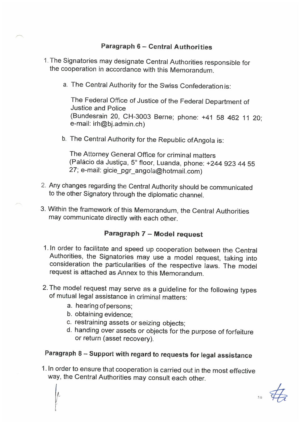### Paragraph 6 – Central Authorities

1. The Signatories may designate Central Authorities responsible for the cooperation in accordance with this Memorandum.

 $\cdot$  /

a. The Central Authority for the Swiss Confederation is:

The Federal Office of Justice of the Federal Department of Justice and Police (Bundesrain 20, CH-3003 Berne; phone: +41 58 462 11 20; e-mail: irh@bj.admin.ch)

b. The Central Authority for the Republic ofAngola is:

The Attorney General Office for criminal matters (Paläcio da Justiga, 5' floor, Luanda, phone: +244 923 44 55 27; e-mail: gicie\_pgr\_angola@hotmail.com)

- 2. Any changes regarding the Central Authority should be communicated to the other Signatory through the diplomatic channel.
- 3. Within the framework of this Memorandum, the Central Authorities may communicate directly with each other.

### Paragraph 7 – Model request

- 1. In order to facilitate and speed up cooperation between the Central Authorities, the Signatories may use a model request, taking into consideration the particularities of the respective laws. The model request is attached as Annex to this Memorandum.
- 2. The model request may serve as a guideline for the following types of mutual legal assistance in criminal matters:
	- a. hearing ofpersons;
	- b. obtaining evidence;
	- c. restraining assets or seizing objects;
	- d. handing over assets or objects for the purpose of forfeiture or return (asset recovery).

## Paragraph 8 – Support with regard to requests for legal assistance

1. In order to ensure that cooperation is carried out in the most effective way, the Central Authorities may consult each other.

5,,"'6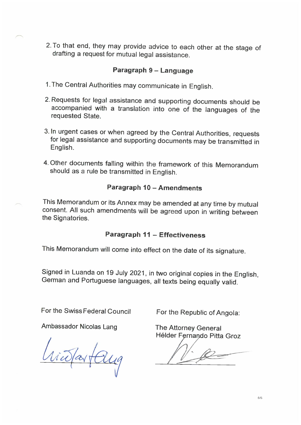2. To that end, they may provide advice to each other at the stage of drafting a request for mutual legal assistance.

#### Paragraph 9 – Language

- 1. The Central Authorities may communicate in English.
- 2. Requests for legal assistance and supporting documents should be accompanied with a translation into one of the languages of the requested State.
- 3. In urgent cases or when agreed by the Central Authorities, requests for legal assistance and supporting documents may be transmitted in English.
- 4. Other documents falling within the framework of this Memorandum should as a rule be transmitted in English.

#### Paragraph 10 – Amendments

This Memorandum or its Annex may be amended at any time by mutual consent. All such amendments will be agreed upon in writing between the Signatories.

#### Paragraph 11 – Effectiveness

This Memorandum will come into effect on the date of its signature.

Signed in Luanda on 19 July 2021, in two original copies in the English, German and Portuguese languages, all texts being equally valid.

For the Swiss Federal Council For the Republic of Angola:

Ambassador Nicolas Lang The Attorney General

risportary

Hëlder Fernando Pitta Groz

 $\beta$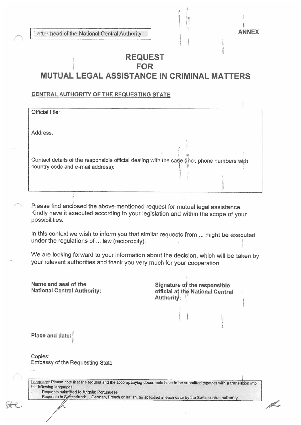Letter-head of the National Central Authority AU AU AU AUNEX

11

### **REQUEST** FOR MUTUAL LEGAL ASSISTANCE IN CRIMINAL MATTERS

:.4

#### CENTRAL AUTHORITY OF THE REQUESTING STATE

| Official title:                                                                             |  |
|---------------------------------------------------------------------------------------------|--|
|                                                                                             |  |
|                                                                                             |  |
|                                                                                             |  |
| Address:                                                                                    |  |
|                                                                                             |  |
|                                                                                             |  |
|                                                                                             |  |
|                                                                                             |  |
| Contact details of the responsible official dealing with the case (incl. phone numbers with |  |
| country code and e-mail address):                                                           |  |
|                                                                                             |  |
|                                                                                             |  |
|                                                                                             |  |
|                                                                                             |  |
|                                                                                             |  |

Please find enclosed the above-mentioned request for mutual legal assistance. Kindly have it executed according to your legislation and within the scope of your possibilities.

In this context we wish to inform you that similar requests from ... might be executed under the regulations of ... law (reciprocity).

We are looking forward to your information about the decision, which will be taken by your relevant authorities and thank you very much for your cooperation.

| Name and seal of the<br><b>National Central Authority:</b>                                                                                                                                            | Signature of the responsible<br>official at the National Central<br>Authority: |  |  |  |  |
|-------------------------------------------------------------------------------------------------------------------------------------------------------------------------------------------------------|--------------------------------------------------------------------------------|--|--|--|--|
| Place and date:                                                                                                                                                                                       |                                                                                |  |  |  |  |
| Copies:<br><b>Embassy of the Requesting State</b><br>4.4.5                                                                                                                                            |                                                                                |  |  |  |  |
| Language: Please note that the request and the accompanying documents have to be submitted together with a translation into<br>the following languages:<br>Documente outposition to Augustus Document |                                                                                |  |  |  |  |

Requests submttted to Angola: Portuguese

Requests to Syntzerland: German, French or Italian, as specified in each case by the Swiss central authority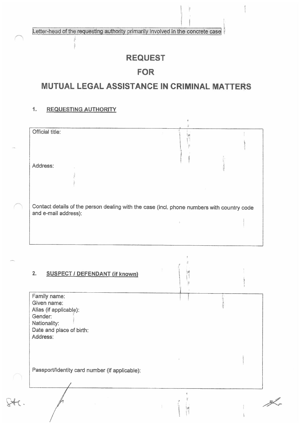Letter-head of the requesting authority primarily involved in the concrete case

### REQUEST

### FOR

### MUTUAL LEGAL ASSISTANCE IN CRIMINAL MATTERS

#### 1. REQUESTING AUTHORITY

| Official title:      |                                                                                            |  |  |  |
|----------------------|--------------------------------------------------------------------------------------------|--|--|--|
| Address:             |                                                                                            |  |  |  |
|                      |                                                                                            |  |  |  |
| and e-mail address): | Contact details of the person dealing with the case (incl. phone numbers with country code |  |  |  |
|                      |                                                                                            |  |  |  |

P

F

 $\begin{bmatrix} 1 & 1 \\ 1 & 1 \end{bmatrix}$ 

 $\mathcal{A}$ 

 $\left| \begin{array}{c} \end{array} \right|$ 

镧

#### 2. SUSPECT / DEFENDANT {if known)

Family name: Given name: Alias (if applicabie): Gender: Nationality: Date and place of birth: Address:

Passport/Identity card number (if applicable):

 $\approx$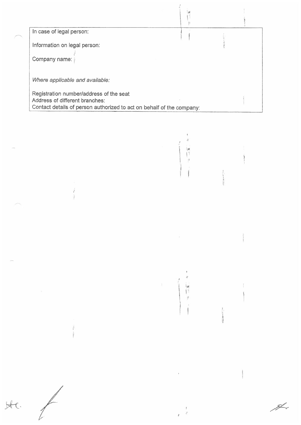In case of legal person:

Information on legal person:

Company name:

Where applicable and available:

Registration number/address of the seat Address of different branches: Contact details of person authorized to act on behalf of the company:

 $\mathbf{I}^{\dagger}$ ÎΙ.

ijв  $\mathbf{H}^{\prime}$ 

J.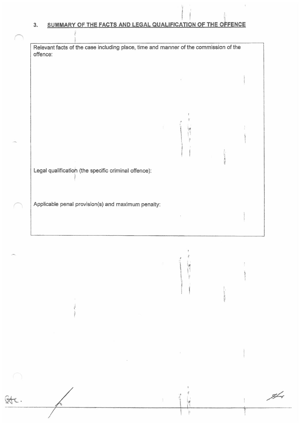#### 3. SUMMARy OF THE FACTS AND LEGAL QUALIFICATION OF THE OFFENCE

 $\circledast$ .

| Relevant facts of the case including place, time and manner of the commission of the<br>offence: |      |                                             |  |  |
|--------------------------------------------------------------------------------------------------|------|---------------------------------------------|--|--|
|                                                                                                  |      |                                             |  |  |
| Legal qualification (the specific criminal offence):                                             |      |                                             |  |  |
| Applicable penal provision(s) and maximum penalty:                                               |      |                                             |  |  |
|                                                                                                  |      | $\begin{bmatrix} 1 \\ 1 \\ 1 \end{bmatrix}$ |  |  |
| $\frac{1}{2}$                                                                                    | 이 두고 |                                             |  |  |

 $\mathcal{I}$ 

 $\mu$ 

 $\frac{d}{dx}$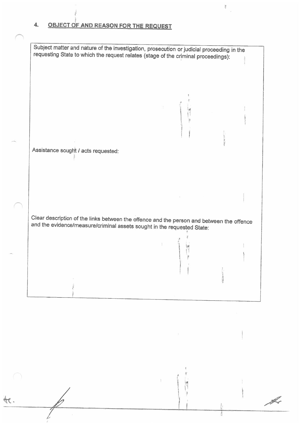#### OBJECT OF AND REASON FOR THE REQUEST 4.

Subject matter and nature of the investigation, prosecution or judicial proceeding in the requesting State to which the request relates (stage of the criminal proceedings): Assistance sought / acts requested: Clear description of the links between the offence and the person and between the offence and the evidence/measure/criminal assets sought in the requested State:

ļţ

L

H.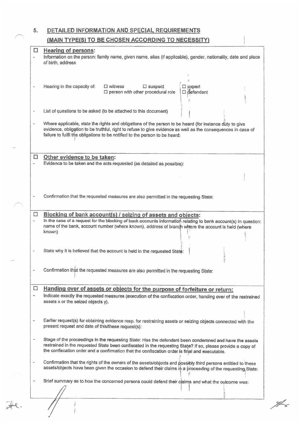5. DETAILED INFORMATION AND SPECIAL REQUIREMENTS

r\

#### (MAIN TYPE(S) TO BE CHOSEN ACCORDING TO NECESSITY)

-1

|                          | Hearing of persons:<br>Information on the person: family name, given name, alias (if applicable), gender, nationality, date and place<br>of birth, address                                                                                                                                                              |
|--------------------------|-------------------------------------------------------------------------------------------------------------------------------------------------------------------------------------------------------------------------------------------------------------------------------------------------------------------------|
|                          | $\square$ witness<br>Hearing in the capacity of:<br>$\square$ suspect<br>$\square$ expert<br>$\square$ person with other procedural role<br>$\Box$ defendant                                                                                                                                                            |
| $\blacksquare$           | List of questions to be asked (to be attached to this document)                                                                                                                                                                                                                                                         |
| $\blacksquare$           | Where applicable, state the rights and obligations of the person to be heard (for instance duty to give<br>evidence, obligation to be truthful, right to refuse to give evidence as well as the consequences in case of<br>failure to fulfil the obligations to be notified to the person to be heard:                  |
| $\Box$                   | Other evidence to be taken:<br>Evidence to be taken and the acts requested (as detailed as possible):                                                                                                                                                                                                                   |
|                          |                                                                                                                                                                                                                                                                                                                         |
|                          | Confirmation that the requested measures are also permitted in the requesting State;                                                                                                                                                                                                                                    |
|                          |                                                                                                                                                                                                                                                                                                                         |
| $\Box$                   | Blocking of bank account(s) / seizing of assets and objects:<br>In the case of a request for the blocking of bank accounts information relating to bank account(s) in question:<br>name of the bank, account number (where known), address of branch where the account is held (where<br>known)                         |
|                          | State why it is believed that the account is held in the requested State:                                                                                                                                                                                                                                               |
|                          | Confirmation that the requested measures are also permitted in the requesting State:                                                                                                                                                                                                                                    |
| $\Box$                   |                                                                                                                                                                                                                                                                                                                         |
| $\bullet$                | Handing over of assets or objects for the purpose of forfeiture or return:<br>Indicate exactly the requested measures (execution of the confiscation order, handing over of the restrained<br>assets x or the seized objects y).                                                                                        |
|                          |                                                                                                                                                                                                                                                                                                                         |
| $\overline{\phantom{a}}$ | Earlier request(s) for obtaining evidence resp. for restraining assets or seizing objects connected with the<br>present request and date of this/these request(s):                                                                                                                                                      |
| $\qquad \qquad -$        | Stage of the proceedings in the requesting State: Has the defendant been condemned and have the assets<br>restrained in the requested State been confiscated in the requesting State? If so, please provide a copy of<br>the confiscation order and a confirmation that the confiscation order is final and executable. |
| $\blacksquare$           | Confirmation that the rights of the owners of the assets/objects and possibly third persons entitled to these<br>assets/objects have been given the occasion to defend their claims in a proceeding of the requesting State:                                                                                            |